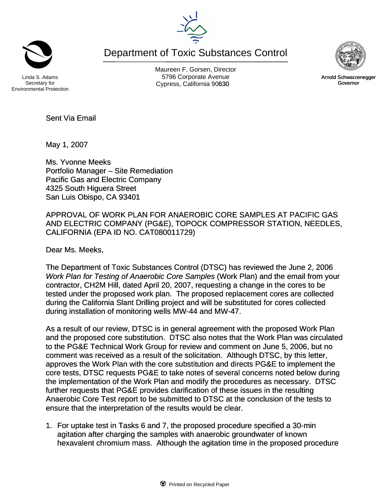Department of Toxic Substances Control

Secretary for

Maureen F. Gorsen, Director Linda S. Adams **Example 20 Constructs** S796 Corporate Avenu Cypress, California 90630 **Canadian Cypress**, California 90630



Arnold Schwarzenegger Governor

Sent Via Email

May 1, 2007

Ms. Yvonne Meeks Portfolio Manager – Site Remediation Pacific Gas and Electric Company 4325 South Higuera Street San Luis Obispo, CA 93401

APPROVAL OF WORK PLAN FOR ANAEROBIC CORE SAMPLES AT PACIFIC GAS AND ELECTRIC COMPANY (PG&E), TOPOCK COMPRESSOR STATION, NEEDLES, CALIFORNIA (EPA ID NO. CAT080011729)

Dear Ms. Meeks,

The Department of Toxic Substances Control (DTSC) has reviewed the June 2, 2006 *Work Plan for Testing of Anaerobic Core Samples* (Work Plan) and the email from your contractor, CH2M Hill, dated April 20, 2007, requesting a change in the cores to be tested under the proposed work plan. The proposed replacement cores are collected during the California Slant Drilling project and will be substituted for cores collected during installation of monitoring wells MW-44 and MW-47.

As a result of our review, DTSC is in general agreement with the proposed Work Plan and the proposed core substitution. DTSC also notes that the Work Plan was circulated to the PG&E Technical Work Group for review and comment on June 5, 2006, but no comment was received as a result of the solicitation. Although DTSC, by this letter, approves the Work Plan with the core substitution and directs PG&E to implement the core tests, DTSC requests PG&E to take notes of several concerns noted below during the implementation of the Work Plan and modify the procedures as necessary. DTSC further requests that PG&E provides clarification of these issues in the resulting Anaerobic Core Test report to be submitted to DTSC at the conclusion of the tests to ensure that the interpretation of the results would be clear.

1. For uptake test in Tasks 6 and 7, the proposed procedure specified a 30-min agitation after charging the samples with anaerobic groundwater of known hexavalent chromium mass. Although the agitation time in the proposed procedure